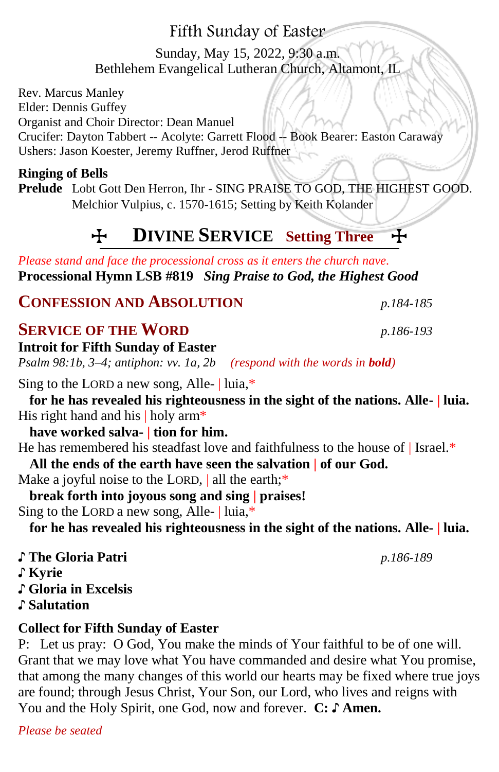# Fifth Sunday of Easter

# Sunday, May 15, 2022, 9:30 a.m. Bethlehem Evangelical Lutheran Church, Altamont, IL

Rev. Marcus Manley Elder: Dennis Guffey Organist and Choir Director: Dean Manuel Crucifer: Dayton Tabbert -- Acolyte: Garrett Flood -- Book Bearer: Easton Caraway Ushers: Jason Koester, Jeremy Ruffner, Jerod Ruffner

#### **Ringing of Bells**

**Prelude** Lobt Gott Den Herron, Ihr - SING PRAISE TO GOD, THE HIGHEST GOOD. Melchior Vulpius, c. 1570-1615; Setting by Keith Kolander

# T **DIVINE SERVICE Setting Three** T

*Please stand and face the processional cross as it enters the church nave.* **Processional Hymn LSB #819** *Sing Praise to God, the Highest Good*

**CONFESSION AND ABSOLUTION** *p.184-185*

# **SERVICE OF THE WORD** *p.186-193*

**Introit for Fifth Sunday of Easter** *Psalm 98:1b, 3–4; antiphon: vv. 1a, 2b**(respond with the words in bold)* Sing to the LORD a new song, Alle- | luia,\* **for he has revealed his righteousness in the sight of the nations. Alle- | luia.** His right hand and his | holy arm<sup>\*</sup> **have worked salva- | tion for him.** He has remembered his steadfast love and faithfulness to the house of | Israel.\* **All the ends of the earth have seen the salvation | of our God.** Make a joyful noise to the LORD, | all the earth;\* **break forth into joyous song and sing | praises!** Sing to the LORD a new song, Alle- | luia,\* **for he has revealed his righteousness in the sight of the nations. Alle- | luia.** ♪ **The Gloria Patri** *p.186-189* ♪ **Kyrie** ♪ **Gloria in Excelsis** 

♪ **Salutation**

### **Collect for Fifth Sunday of Easter**

P: Let us pray: O God, You make the minds of Your faithful to be of one will. Grant that we may love what You have commanded and desire what You promise, that among the many changes of this world our hearts may be fixed where true joys are found; through Jesus Christ, Your Son, our Lord, who lives and reigns with You and the Holy Spirit, one God, now and forever. **C:** ♪ **Amen.**

*Please be seated*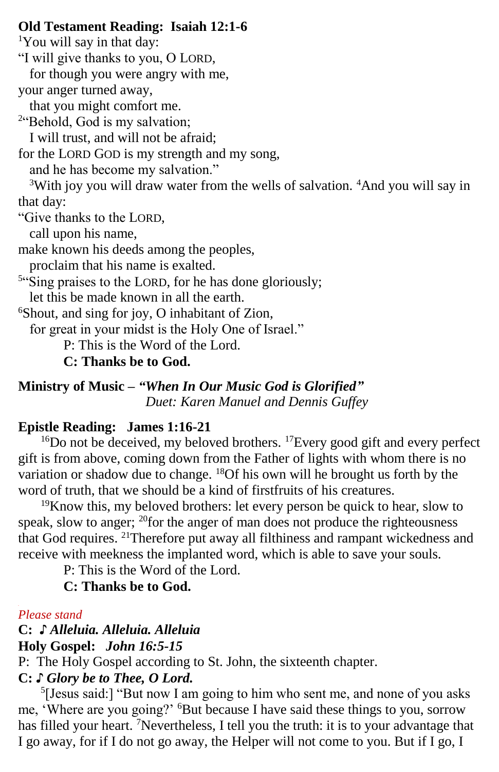#### **Old Testament Reading: Isaiah 12:1-6**

<sup>1</sup>You will say in that day: "I will give thanks to you, O LORD, for though you were angry with me, your anger turned away, that you might comfort me. <sup>2"</sup>Behold, God is my salvation; I will trust, and will not be afraid; for the LORD GOD is my strength and my song, and he has become my salvation." <sup>3</sup>With joy you will draw water from the wells of salvation. <sup>4</sup>And you will say in that day: "Give thanks to the LORD, call upon his name, make known his deeds among the peoples, proclaim that his name is exalted. <sup>5"</sup>Sing praises to the LORD, for he has done gloriously; let this be made known in all the earth. <sup>6</sup>Shout, and sing for joy, O inhabitant of Zion, for great in your midst is the Holy One of Israel." P: This is the Word of the Lord.

 **C: Thanks be to God.**

**Ministry of Music –** *"When In Our Music God is Glorified" Duet: Karen Manuel and Dennis Guffey*

### **Epistle Reading:****James 1:16-21**

<sup>16</sup>Do not be deceived, my beloved brothers. <sup>17</sup>Every good gift and every perfect gift is from above, coming down from the Father of lights with whom there is no variation or shadow due to change. <sup>18</sup>Of his own will he brought us forth by the word of truth, that we should be a kind of firstfruits of his creatures.

 $19K$  now this, my beloved brothers: let every person be quick to hear, slow to speak, slow to anger;  $^{20}$  for the anger of man does not produce the righteousness that God requires. <sup>21</sup>Therefore put away all filthiness and rampant wickedness and receive with meekness the implanted word, which is able to save your souls.

P: This is the Word of the Lord.

### **C: Thanks be to God.**

#### *Please stand*

# **C:** *♪ Alleluia. Alleluia. Alleluia* **Holy Gospel:** *John 16:5-15*

P: The Holy Gospel according to St. John, the sixteenth chapter.

# **C:** *♪ Glory be to Thee, O Lord.*

<sup>5</sup>[Jesus said:] "But now I am going to him who sent me, and none of you asks me, 'Where are you going?' <sup>6</sup>But because I have said these things to you, sorrow has filled your heart. <sup>7</sup>Nevertheless, I tell you the truth: it is to your advantage that I go away, for if I do not go away, the Helper will not come to you. But if I go, I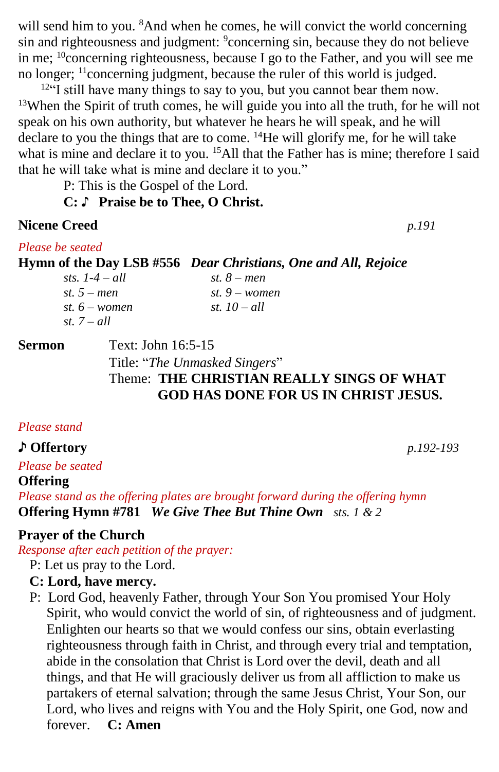will send him to you. <sup>8</sup>And when he comes, he will convict the world concerning sin and righteousness and judgment: <sup>9</sup>concerning sin, because they do not believe in me; <sup>10</sup>concerning righteousness, because I go to the Father, and you will see me no longer; <sup>11</sup>concerning judgment, because the ruler of this world is judged.

 $12^{2}$  still have many things to say to you, but you cannot bear them now. <sup>13</sup>When the Spirit of truth comes, he will guide you into all the truth, for he will not speak on his own authority, but whatever he hears he will speak, and he will declare to you the things that are to come. <sup>14</sup>He will glorify me, for he will take what is mine and declare it to you. <sup>15</sup>All that the Father has is mine; therefore I said that he will take what is mine and declare it to you."

P: This is the Gospel of the Lord.

#### **C: ♪ Praise be to Thee, O Christ.**

#### **Nicene Creed** *p.191*

*Please be seated*

**Hymn of the Day LSB #556** *Dear Christians, One and All, Rejoice*

| sts. $1-4-all$  | st. $8$ – men   |
|-----------------|-----------------|
| st. $5 - men$   | st. $9$ – women |
| st. $6$ – women | st. $10 - all$  |
| st. $7 - all$   |                 |

**Sermon Text: John 16:5-15** 

Title: "*The Unmasked Singers*"

# Theme: **THE CHRISTIAN REALLY SINGS OF WHAT GOD HAS DONE FOR US IN CHRIST JESUS.**

#### *Please stand*

#### ♪ **Offertory** *p.192-193*

*Please be seated*

**Offering** 

*Please stand as the offering plates are brought forward during the offering hymn* **Offering Hymn #781** *We Give Thee But Thine Own sts. 1 & 2*

### **Prayer of the Church**

*Response after each petition of the prayer:*

P: Let us pray to the Lord.

#### **C: Lord, have mercy.**

P: Lord God, heavenly Father, through Your Son You promised Your Holy Spirit, who would convict the world of sin, of righteousness and of judgment. Enlighten our hearts so that we would confess our sins, obtain everlasting righteousness through faith in Christ, and through every trial and temptation, abide in the consolation that Christ is Lord over the devil, death and all things, and that He will graciously deliver us from all affliction to make us partakers of eternal salvation; through the same Jesus Christ, Your Son, our Lord, who lives and reigns with You and the Holy Spirit, one God, now and forever. **C: Amen**